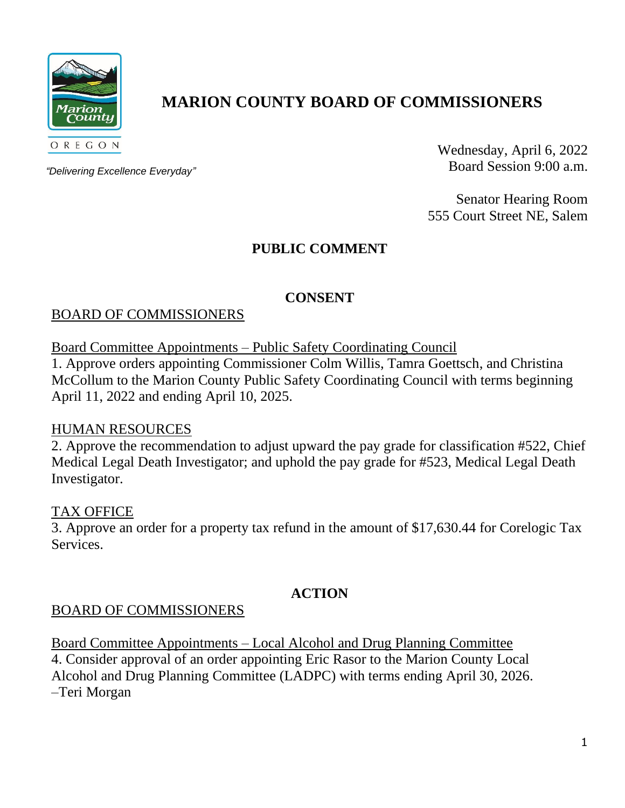

# **MARION COUNTY BOARD OF COMMISSIONERS**

*"Delivering Excellence Everyday"*

Wednesday, April 6, 2022 Board Session 9:00 a.m.

Senator Hearing Room 555 Court Street NE, Salem

# **PUBLIC COMMENT**

### **CONSENT**

### BOARD OF COMMISSIONERS

Board Committee Appointments – Public Safety Coordinating Council

1. Approve orders appointing Commissioner Colm Willis, Tamra Goettsch, and Christina McCollum to the Marion County Public Safety Coordinating Council with terms beginning April 11, 2022 and ending April 10, 2025.

#### HUMAN RESOURCES

2. Approve the recommendation to adjust upward the pay grade for classification #522, Chief Medical Legal Death Investigator; and uphold the pay grade for #523, Medical Legal Death Investigator.

#### TAX OFFICE

3. Approve an order for a property tax refund in the amount of \$17,630.44 for Corelogic Tax Services.

### **ACTION**

### BOARD OF COMMISSIONERS

Board Committee Appointments – Local Alcohol and Drug Planning Committee 4. Consider approval of an order appointing Eric Rasor to the Marion County Local Alcohol and Drug Planning Committee (LADPC) with terms ending April 30, 2026. –Teri Morgan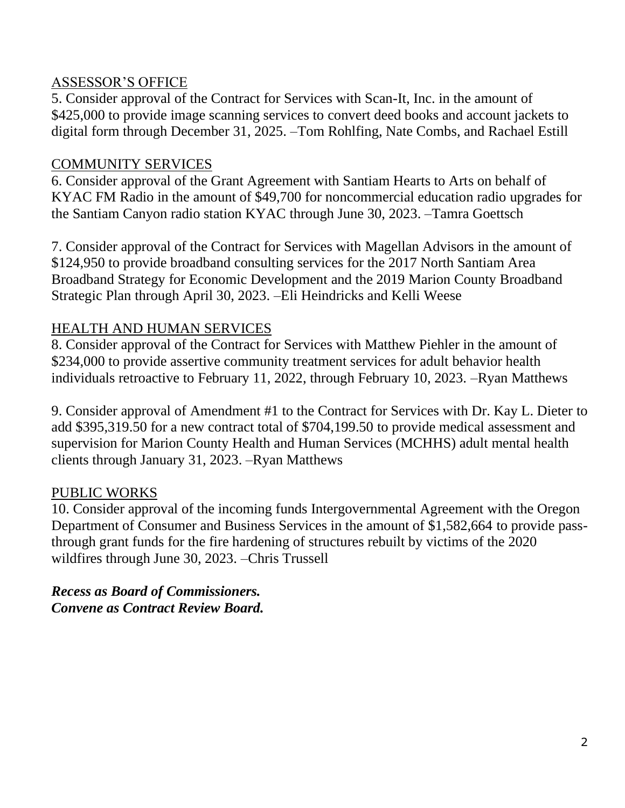### ASSESSOR'S OFFICE

5. Consider approval of the Contract for Services with Scan-It, Inc. in the amount of \$425,000 to provide image scanning services to convert deed books and account jackets to digital form through December 31, 2025. –Tom Rohlfing, Nate Combs, and Rachael Estill

### COMMUNITY SERVICES

6. Consider approval of the Grant Agreement with Santiam Hearts to Arts on behalf of KYAC FM Radio in the amount of \$49,700 for noncommercial education radio upgrades for the Santiam Canyon radio station KYAC through June 30, 2023. –Tamra Goettsch

7. Consider approval of the Contract for Services with Magellan Advisors in the amount of \$124,950 to provide broadband consulting services for the 2017 North Santiam Area Broadband Strategy for Economic Development and the 2019 Marion County Broadband Strategic Plan through April 30, 2023. –Eli Heindricks and Kelli Weese

### HEALTH AND HUMAN SERVICES

8. Consider approval of the Contract for Services with Matthew Piehler in the amount of \$234,000 to provide assertive community treatment services for adult behavior health individuals retroactive to February 11, 2022, through February 10, 2023. –Ryan Matthews

9. Consider approval of Amendment #1 to the Contract for Services with Dr. Kay L. Dieter to add \$395,319.50 for a new contract total of \$704,199.50 to provide medical assessment and supervision for Marion County Health and Human Services (MCHHS) adult mental health clients through January 31, 2023. –Ryan Matthews

## PUBLIC WORKS

10. Consider approval of the incoming funds Intergovernmental Agreement with the Oregon Department of Consumer and Business Services in the amount of \$1,582,664 to provide passthrough grant funds for the fire hardening of structures rebuilt by victims of the 2020 wildfires through June 30, 2023. –Chris Trussell

*Recess as Board of Commissioners. Convene as Contract Review Board.*